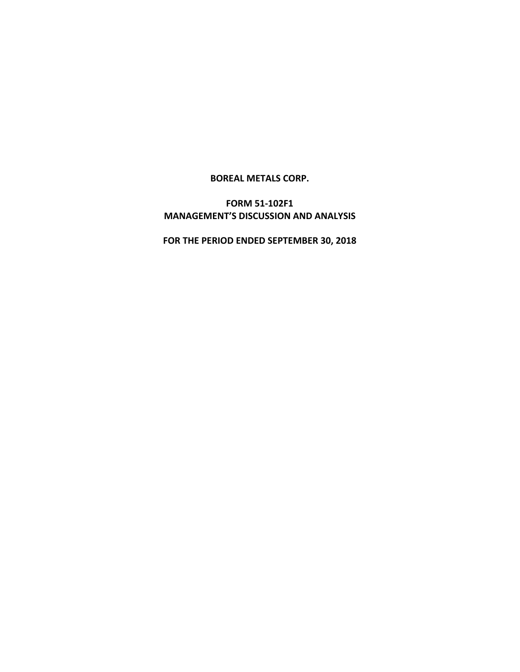**BOREAL METALS CORP.**

**FORM 51-102F1 MANAGEMENT'S DISCUSSION AND ANALYSIS**

**FOR THE PERIOD ENDED SEPTEMBER 30, 2018**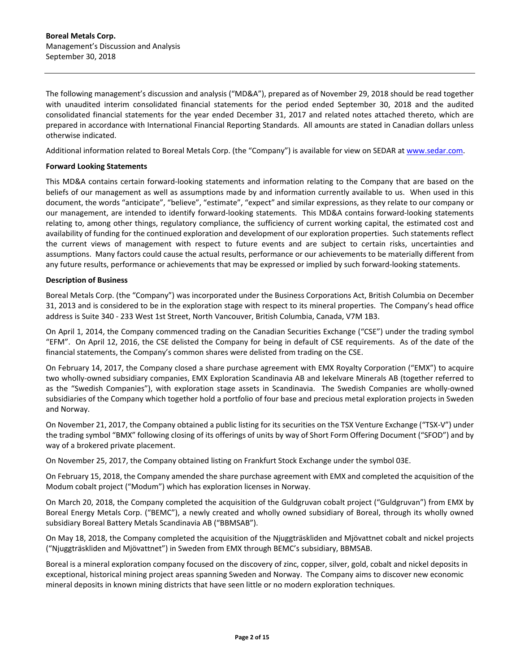The following management's discussion and analysis ("MD&A"), prepared as of November 29, 2018 should be read together with unaudited interim consolidated financial statements for the period ended September 30, 2018 and the audited consolidated financial statements for the year ended December 31, 2017 and related notes attached thereto, which are prepared in accordance with International Financial Reporting Standards. All amounts are stated in Canadian dollars unless otherwise indicated.

Additional information related to Boreal Metals Corp. (the "Company") is available for view on SEDAR at [www.sedar.com.](http://www.sedar.com/)

## **Forward Looking Statements**

This MD&A contains certain forward-looking statements and information relating to the Company that are based on the beliefs of our management as well as assumptions made by and information currently available to us. When used in this document, the words "anticipate", "believe", "estimate", "expect" and similar expressions, as they relate to our company or our management, are intended to identify forward-looking statements. This MD&A contains forward-looking statements relating to, among other things, regulatory compliance, the sufficiency of current working capital, the estimated cost and availability of funding for the continued exploration and development of our exploration properties. Such statements reflect the current views of management with respect to future events and are subject to certain risks, uncertainties and assumptions. Many factors could cause the actual results, performance or our achievements to be materially different from any future results, performance or achievements that may be expressed or implied by such forward-looking statements.

## **Description of Business**

Boreal Metals Corp. (the "Company") was incorporated under the Business Corporations Act, British Columbia on December 31, 2013 and is considered to be in the exploration stage with respect to its mineral properties. The Company's head office address is Suite 340 - 233 West 1st Street, North Vancouver, British Columbia, Canada, V7M 1B3.

On April 1, 2014, the Company commenced trading on the Canadian Securities Exchange ("CSE") under the trading symbol "EFM". On April 12, 2016, the CSE delisted the Company for being in default of CSE requirements. As of the date of the financial statements, the Company's common shares were delisted from trading on the CSE.

On February 14, 2017, the Company closed a share purchase agreement with EMX Royalty Corporation ("EMX") to acquire two wholly-owned subsidiary companies, EMX Exploration Scandinavia AB and Iekelvare Minerals AB (together referred to as the "Swedish Companies"), with exploration stage assets in Scandinavia. The Swedish Companies are wholly-owned subsidiaries of the Company which together hold a portfolio of four base and precious metal exploration projects in Sweden and Norway.

On November 21, 2017, the Company obtained a public listing for its securities on the TSX Venture Exchange ("TSX-V") under the trading symbol "BMX" following closing of its offerings of units by way of Short Form Offering Document ("SFOD") and by way of a brokered private placement.

On November 25, 2017, the Company obtained listing on Frankfurt Stock Exchange under the symbol 03E.

On February 15, 2018, the Company amended the share purchase agreement with EMX and completed the acquisition of the Modum cobalt project ("Modum") which has exploration licenses in Norway.

On March 20, 2018, the Company completed the acquisition of the Guldgruvan cobalt project ("Guldgruvan") from EMX by Boreal Energy Metals Corp. ("BEMC"), a newly created and wholly owned subsidiary of Boreal, through its wholly owned subsidiary Boreal Battery Metals Scandinavia AB ("BBMSAB").

On May 18, 2018, the Company completed the acquisition of the Njuggträskliden and Mjövattnet cobalt and nickel projects ("Njuggträskliden and Mjövattnet") in Sweden from EMX through BEMC's subsidiary, BBMSAB.

Boreal is a mineral exploration company focused on the discovery of zinc, copper, silver, gold, cobalt and nickel deposits in exceptional, historical mining project areas spanning Sweden and Norway. The Company aims to discover new economic mineral deposits in known mining districts that have seen little or no modern exploration techniques.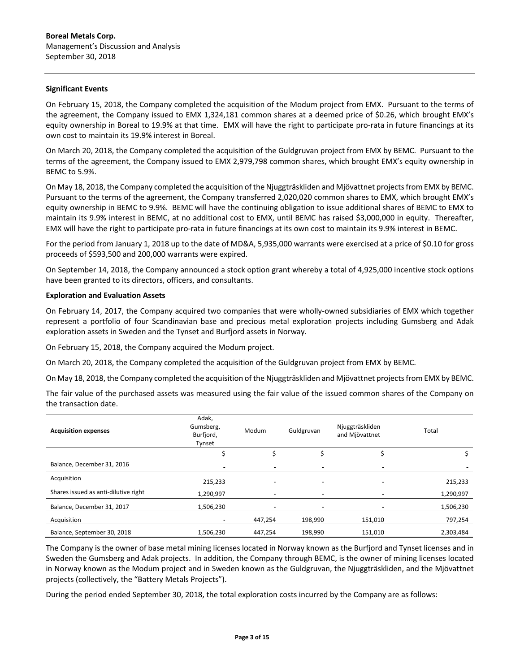### **Significant Events**

On February 15, 2018, the Company completed the acquisition of the Modum project from EMX. Pursuant to the terms of the agreement, the Company issued to EMX 1,324,181 common shares at a deemed price of \$0.26, which brought EMX's equity ownership in Boreal to 19.9% at that time. EMX will have the right to participate pro-rata in future financings at its own cost to maintain its 19.9% interest in Boreal.

On March 20, 2018, the Company completed the acquisition of the Guldgruvan project from EMX by BEMC. Pursuant to the terms of the agreement, the Company issued to EMX 2,979,798 common shares, which brought EMX's equity ownership in BEMC to 5.9%.

On May 18, 2018, the Company completed the acquisition of the Njuggträskliden and Mjövattnet projects from EMX by BEMC. Pursuant to the terms of the agreement, the Company transferred 2,020,020 common shares to EMX, which brought EMX's equity ownership in BEMC to 9.9%. BEMC will have the continuing obligation to issue additional shares of BEMC to EMX to maintain its 9.9% interest in BEMC, at no additional cost to EMX, until BEMC has raised \$3,000,000 in equity. Thereafter, EMX will have the right to participate pro-rata in future financings at its own cost to maintain its 9.9% interest in BEMC.

For the period from January 1, 2018 up to the date of MD&A, 5,935,000 warrants were exercised at a price of \$0.10 for gross proceeds of \$593,500 and 200,000 warrants were expired.

On September 14, 2018, the Company announced a stock option grant whereby a total of 4,925,000 incentive stock options have been granted to its directors, officers, and consultants.

### **Exploration and Evaluation Assets**

On February 14, 2017, the Company acquired two companies that were wholly-owned subsidiaries of EMX which together represent a portfolio of four Scandinavian base and precious metal exploration projects including Gumsberg and Adak exploration assets in Sweden and the Tynset and Burfjord assets in Norway.

On February 15, 2018, the Company acquired the Modum project.

On March 20, 2018, the Company completed the acquisition of the Guldgruvan project from EMX by BEMC.

On May 18, 2018, the Company completed the acquisition of the Njuggträskliden and Mjövattnet projects from EMX by BEMC.

The fair value of the purchased assets was measured using the fair value of the issued common shares of the Company on the transaction date.

| <b>Acquisition expenses</b>          | Adak,<br>Gumsberg,<br>Modum<br>Burfjord,<br>Tynset |         | Guldgruvan               | Njuggträskliden<br>and Mjövattnet | Total     |
|--------------------------------------|----------------------------------------------------|---------|--------------------------|-----------------------------------|-----------|
|                                      |                                                    |         |                          |                                   |           |
| Balance, December 31, 2016           | ۰                                                  |         | ۰                        | ۰                                 |           |
| Acquisition                          | 215,233                                            |         |                          |                                   | 215,233   |
| Shares issued as anti-dilutive right | 1,290,997                                          |         | $\overline{\phantom{0}}$ |                                   | 1,290,997 |
| Balance, December 31, 2017           | 1,506,230                                          |         | $\overline{\phantom{0}}$ |                                   | 1,506,230 |
| Acquisition                          |                                                    | 447,254 | 198,990                  | 151,010                           | 797,254   |
| Balance, September 30, 2018          | 1,506,230                                          | 447,254 | 198,990                  | 151,010                           | 2,303,484 |

The Company is the owner of base metal mining licenses located in Norway known as the Burfjord and Tynset licenses and in Sweden the Gumsberg and Adak projects. In addition, the Company through BEMC, is the owner of mining licenses located in Norway known as the Modum project and in Sweden known as the Guldgruvan, the Njuggträskliden, and the Mjövattnet projects (collectively, the "Battery Metals Projects").

During the period ended September 30, 2018, the total exploration costs incurred by the Company are as follows: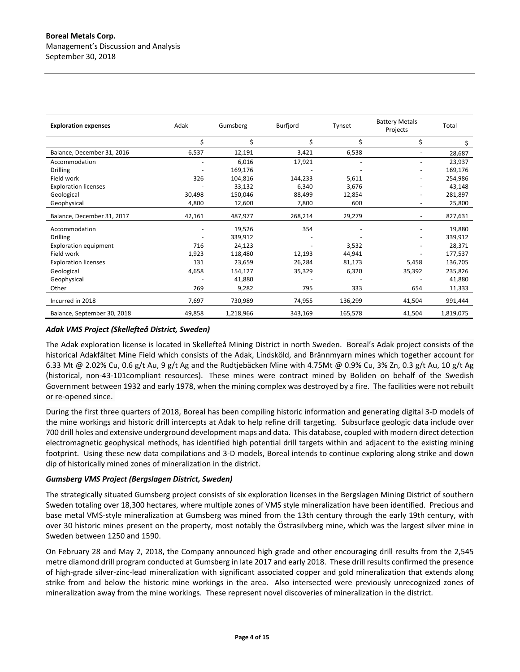| <b>Exploration expenses</b>  | Adak   | Gumsberg  | Burfjord | Tynset  | <b>Battery Metals</b><br>Projects | Total     |
|------------------------------|--------|-----------|----------|---------|-----------------------------------|-----------|
|                              | \$     | Ś         | \$       | Ś.      | \$                                | S.        |
| Balance, December 31, 2016   | 6,537  | 12,191    | 3,421    | 6,538   |                                   | 28,687    |
| Accommodation                |        | 6,016     | 17,921   |         |                                   | 23,937    |
| <b>Drilling</b>              |        | 169,176   |          |         | ٠                                 | 169,176   |
| Field work                   | 326    | 104,816   | 144,233  | 5,611   | ۰                                 | 254,986   |
| <b>Exploration licenses</b>  |        | 33,132    | 6,340    | 3,676   |                                   | 43,148    |
| Geological                   | 30,498 | 150,046   | 88,499   | 12,854  | ۰                                 | 281,897   |
| Geophysical                  | 4,800  | 12,600    | 7,800    | 600     | ۰                                 | 25,800    |
| Balance, December 31, 2017   | 42,161 | 487,977   | 268,214  | 29,279  |                                   | 827,631   |
| Accommodation                |        | 19,526    | 354      |         |                                   | 19,880    |
| <b>Drilling</b>              |        | 339,912   |          |         |                                   | 339,912   |
| <b>Exploration equipment</b> | 716    | 24,123    |          | 3,532   |                                   | 28,371    |
| Field work                   | 1,923  | 118,480   | 12,193   | 44,941  |                                   | 177,537   |
| <b>Exploration licenses</b>  | 131    | 23,659    | 26,284   | 81,173  | 5,458                             | 136,705   |
| Geological                   | 4,658  | 154,127   | 35,329   | 6,320   | 35,392                            | 235,826   |
| Geophysical                  |        | 41,880    |          |         |                                   | 41,880    |
| Other                        | 269    | 9,282     | 795      | 333     | 654                               | 11,333    |
| Incurred in 2018             | 7,697  | 730,989   | 74,955   | 136,299 | 41,504                            | 991,444   |
| Balance, September 30, 2018  | 49,858 | 1,218,966 | 343,169  | 165,578 | 41,504                            | 1,819,075 |

## *Adak VMS Project (Skellefteå District, Sweden)*

The Adak exploration license is located in Skellefteå Mining District in north Sweden. Boreal's Adak project consists of the historical Adakfältet Mine Field which consists of the Adak, Lindsköld, and Brännmyarn mines which together account for 6.33 Mt @ 2.02% Cu, 0.6 g/t Au, 9 g/t Ag and the Rudtjebäcken Mine with 4.75Mt @ 0.9% Cu, 3% Zn, 0.3 g/t Au, 10 g/t Ag (historical, non-43-101compliant resources). These mines were contract mined by Boliden on behalf of the Swedish Government between 1932 and early 1978, when the mining complex was destroyed by a fire. The facilities were not rebuilt or re-opened since.

During the first three quarters of 2018, Boreal has been compiling historic information and generating digital 3-D models of the mine workings and historic drill intercepts at Adak to help refine drill targeting. Subsurface geologic data include over 700 drill holes and extensive underground development maps and data. This database, coupled with modern direct detection electromagnetic geophysical methods, has identified high potential drill targets within and adjacent to the existing mining footprint. Using these new data compilations and 3-D models, Boreal intends to continue exploring along strike and down dip of historically mined zones of mineralization in the district.

### *Gumsberg VMS Project (Bergslagen District, Sweden)*

The strategically situated Gumsberg project consists of six exploration licenses in the Bergslagen Mining District of southern Sweden totaling over 18,300 hectares, where multiple zones of VMS style mineralization have been identified. Precious and base metal VMS-style mineralization at Gumsberg was mined from the 13th century through the early 19th century, with over 30 historic mines present on the property, most notably the Östrasilvberg mine, which was the largest silver mine in Sweden between 1250 and 1590.

On February 28 and May 2, 2018, the Company announced high grade and other encouraging drill results from the 2,545 metre diamond drill program conducted at Gumsberg in late 2017 and early 2018. These drill results confirmed the presence of high-grade silver-zinc-lead mineralization with significant associated copper and gold mineralization that extends along strike from and below the historic mine workings in the area. Also intersected were previously unrecognized zones of mineralization away from the mine workings. These represent novel discoveries of mineralization in the district.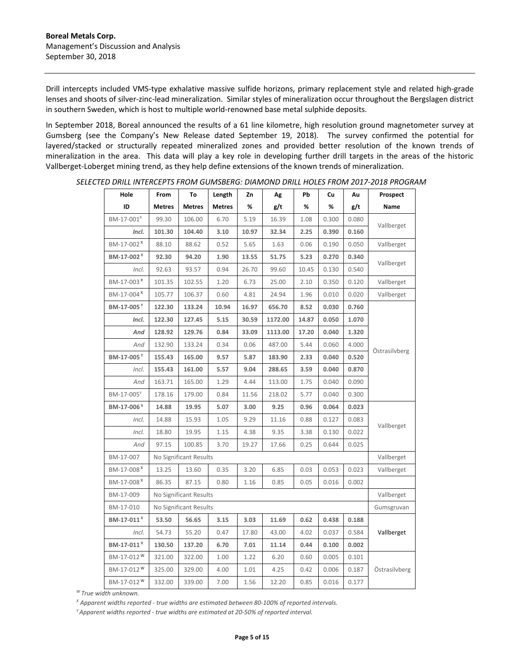Drill intercepts included VMS-type exhalative massive sulfide horizons, primary replacement style and related high-grade lenses and shoots of silver-zinc-lead mineralization. Similar styles of mineralization occur throughout the Bergslagen district in southern Sweden, which is host to multiple world-renowned base metal sulphide deposits.

In September 2018, Boreal announced the results of a 61 line kilometre, high resolution ground magnetometer survey at Gumsberg (see the Company's New Release dated September 19, 2018). The survey confirmed the potential for layered/stacked or structurally repeated mineralized zones and provided better resolution of the known trends of mineralization in the area. This data will play a key role in developing further drill targets in the areas of the historic Vallberget-Loberget mining trend, as they help define extensions of the known trends of mineralization.

| Hole                   | From          | To                     | Length        | Ζn    | Αg      | Pb    | Cu    | Λu    | Prospect      |
|------------------------|---------------|------------------------|---------------|-------|---------|-------|-------|-------|---------------|
| ID                     | <b>Metres</b> | <b>Metres</b>          | <b>Metres</b> | %     | g/t     | %     | %     | g/t   | Name          |
| BM-17-001 <sup>x</sup> | 99.30         | 106.00                 | 6.70          | 5.19  | 16.39   | 1.08  | 0.300 | 0.080 |               |
| Incl.                  | 101.30        | 104.40                 | 3.10          | 10.97 | 32.34   | 2.25  | 0.390 | 0.160 | Vallberget    |
| BM-17-002 <sup>x</sup> | 88.10         | 88.62                  | 0.52          | 5.65  | 1.63    | 0.06  | 0.190 | 0.050 | Vallberget    |
| BM-17-002 <sup>X</sup> | 92.30         | 94.20                  | 1.90          | 13.55 | 51.75   | 5.23  | 0.270 | 0.340 |               |
| Incl.                  | 92.63         | 93.57                  | 0.94          | 26.70 | 99.60   | 10.45 | 0.130 | 0.540 | Vallberget    |
| BM-17-003 <sup>×</sup> | 101.35        | 102.55                 | 1.20          | 6.73  | 25.00   | 2.10  | 0.350 | 0.120 | Vallberget    |
| BM-17-004 <sup>x</sup> | 105.77        | 106.37                 | 0.60          | 4.81  | 24.94   | 1.96  | 0.010 | 0.020 | Vallberget    |
| BM-17-005 <sup>Y</sup> | 122.30        | 133.24                 | 10.94         | 16.97 | 656.70  | 8.52  | 0.030 | 0.760 |               |
| Incl.                  | 122.30        | 127.45                 | 5.15          | 30.59 | 1172.00 | 14.87 | 0.050 | 1.070 |               |
| And                    | 128.92        | 129.76                 | 0.84          | 33.09 | 1113.00 | 17.20 | 0.040 | 1.320 |               |
| And                    | 132.90        | 133.24                 | 0.34          | 0.06  | 487.00  | 5.44  | 0.060 | 4.000 |               |
| BM-17-005Y             | 155.43        | 165.00                 | 9.57          | 5.87  | 183.90  | 2.33  | 0.040 | 0.520 | Östrasilvberg |
| Incl.                  | 155.43        | 161.00                 | 5.57          | 9.04  | 288.65  | 3.59  | 0.040 | 0.870 |               |
| And                    | 163.71        | 165.00                 | 1.29          | 4.44  | 113.00  | 1.75  | 0.040 | 0.090 |               |
| BM-17-005 <sup>Y</sup> | 178.16        | 179.00                 | 0.84          | 11.56 | 218.02  | 5.77  | 0.040 | 0.300 |               |
| BM-17-006 <sup>X</sup> | 14.88         | 19.95                  | 5.07          | 3.00  | 9.25    | 0.96  | 0.064 | 0.023 |               |
| Incl.                  | 14.88         | 15.93                  | 1.05          | 9.29  | 11.16   | 0.88  | 0.127 | 0.083 |               |
| Incl.                  | 18.80         | 19.95                  | 1.15          | 4.38  | 9.35    | 3.38  | 0.130 | 0.022 | Vallberget    |
| And                    | 97.15         | 100.85                 | 3.70          | 19.27 | 17.66   | 0.25  | 0.644 | 0.025 |               |
| BM-17-007              |               | No Significant Results |               |       |         |       |       |       | Vallberget    |
| BM-17-008 <sup>x</sup> | 13.25         | 13.60                  | 0.35          | 3.20  | 6.85    | 0.03  | 0.053 | 0.023 | Vallberget    |
| BM-17-008 <sup>x</sup> | 86.35         | 87.15                  | 0.80          | 1.16  | 0.85    | 0.05  | 0.016 | 0.002 |               |
| BM-17-009              |               | No Significant Results |               |       |         |       |       |       | Vallberget    |
| BM-17-010              |               | No Significant Results |               |       |         |       |       |       | Gumsgruvan    |
| BM-17-011 <sup>X</sup> | 53.50         | 56.65                  | 3.15          | 3.03  | 11.69   | 0.62  | 0.438 | 0.188 |               |
| Incl.                  | 54.73         | 55.20                  | 0.47          | 17.80 | 43.00   | 4.02  | 0.037 | 0.584 | Vallberget    |
| BM-17-011 <sup>X</sup> | 130.50        | 137.20                 | 6.70          | 7.01  | 11.14   | 0.44  | 0.100 | 0.002 |               |
| BM-17-012 <sup>W</sup> | 321.00        | 322.00                 | 1.00          | 1.22  | 6.20    | 0.60  | 0.005 | 0.101 |               |
| BM-17-012 <sup>W</sup> | 325.00        | 329.00                 | 4.00          | 1.01  | 4.25    | 0.42  | 0.006 | 0.187 | Östrasilvberg |
| BM-17-012 <sup>W</sup> | 332.00        | 339.00                 | 7.00          | 1.56  | 12.20   | 0.85  | 0.016 | 0.177 |               |

*SELECTED DRILL INTERCEPTS FROM GUMSBERG: DIAMOND DRILL HOLES FROM 2017-2018 PROGRAM* 

*W True width unknown.*

*<sup>X</sup> Apparent widths reported - true widths are estimated between 80-100% of reported intervals.*

*Y Apparent widths reported - true widths are estimated at 20-50% of reported interval.*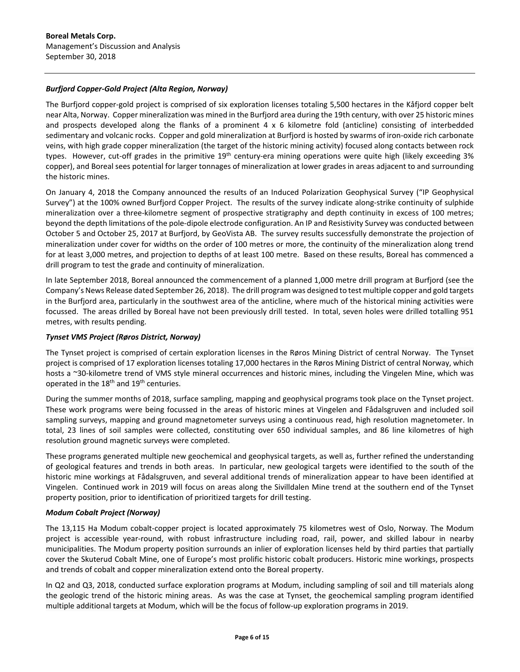# *Burfjord Copper-Gold Project (Alta Region, Norway)*

The Burfjord copper-gold project is comprised of six exploration licenses totaling 5,500 hectares in the Kåfjord copper belt near Alta, Norway. Copper mineralization was mined in the Burfjord area during the 19th century, with over 25 historic mines and prospects developed along the flanks of a prominent 4 x 6 kilometre fold (anticline) consisting of interbedded sedimentary and volcanic rocks. Copper and gold mineralization at Burfjord is hosted by swarms of iron-oxide rich carbonate veins, with high grade copper mineralization (the target of the historic mining activity) focused along contacts between rock types. However, cut-off grades in the primitive 19<sup>th</sup> century-era mining operations were quite high (likely exceeding 3% copper), and Boreal sees potential for larger tonnages of mineralization at lower grades in areas adjacent to and surrounding the historic mines.

On January 4, 2018 the Company announced the results of an Induced Polarization Geophysical Survey ("IP Geophysical Survey") at the 100% owned Burfjord Copper Project. The results of the survey indicate along-strike continuity of sulphide mineralization over a three-kilometre segment of prospective stratigraphy and depth continuity in excess of 100 metres; beyond the depth limitations of the pole-dipole electrode configuration. An IP and Resistivity Survey was conducted between October 5 and October 25, 2017 at Burfjord, by GeoVista AB. The survey results successfully demonstrate the projection of mineralization under cover for widths on the order of 100 metres or more, the continuity of the mineralization along trend for at least 3,000 metres, and projection to depths of at least 100 metre. Based on these results, Boreal has commenced a drill program to test the grade and continuity of mineralization.

In late September 2018, Boreal announced the commencement of a planned 1,000 metre drill program at Burfjord (see the Company's News Release dated September 26, 2018). The drill program was designed to test multiple copper and gold targets in the Burfjord area, particularly in the southwest area of the anticline, where much of the historical mining activities were focussed. The areas drilled by Boreal have not been previously drill tested. In total, seven holes were drilled totalling 951 metres, with results pending.

## *Tynset VMS Project (Røros District, Norway)*

The Tynset project is comprised of certain exploration licenses in the Røros Mining District of central Norway. The Tynset project is comprised of 17 exploration licenses totaling 17,000 hectares in the Røros Mining District of central Norway, which hosts a ~30-kilometre trend of VMS style mineral occurrences and historic mines, including the Vingelen Mine, which was operated in the 18<sup>th</sup> and 19<sup>th</sup> centuries.

During the summer months of 2018, surface sampling, mapping and geophysical programs took place on the Tynset project. These work programs were being focussed in the areas of historic mines at Vingelen and Fådalsgruven and included soil sampling surveys, mapping and ground magnetometer surveys using a continuous read, high resolution magnetometer. In total, 23 lines of soil samples were collected, constituting over 650 individual samples, and 86 line kilometres of high resolution ground magnetic surveys were completed.

These programs generated multiple new geochemical and geophysical targets, as well as, further refined the understanding of geological features and trends in both areas. In particular, new geological targets were identified to the south of the historic mine workings at Fådalsgruven, and several additional trends of mineralization appear to have been identified at Vingelen. Continued work in 2019 will focus on areas along the Sivilldalen Mine trend at the southern end of the Tynset property position, prior to identification of prioritized targets for drill testing.

### *Modum Cobalt Project (Norway)*

The 13,115 Ha Modum cobalt-copper project is located approximately 75 kilometres west of Oslo, Norway. The Modum project is accessible year-round, with robust infrastructure including road, rail, power, and skilled labour in nearby municipalities. The Modum property position surrounds an inlier of exploration licenses held by third parties that partially cover the Skuterud Cobalt Mine, one of Europe's most prolific historic cobalt producers. Historic mine workings, prospects and trends of cobalt and copper mineralization extend onto the Boreal property.

In Q2 and Q3, 2018, conducted surface exploration programs at Modum, including sampling of soil and till materials along the geologic trend of the historic mining areas. As was the case at Tynset, the geochemical sampling program identified multiple additional targets at Modum, which will be the focus of follow-up exploration programs in 2019.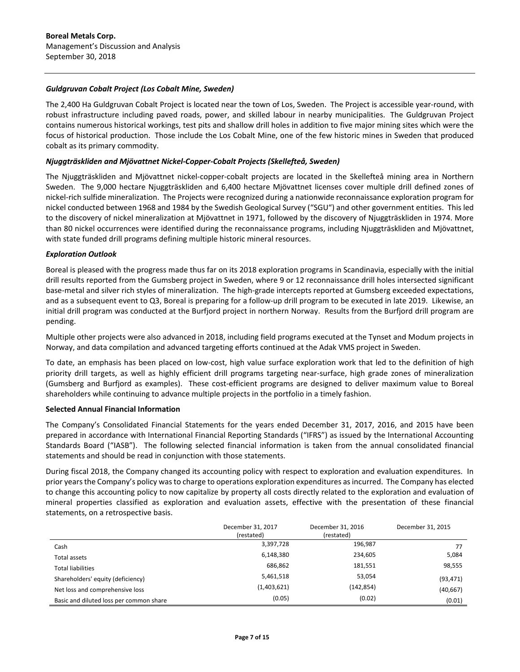## *Guldgruvan Cobalt Project (Los Cobalt Mine, Sweden)*

The 2,400 Ha Guldgruvan Cobalt Project is located near the town of Los, Sweden. The Project is accessible year-round, with robust infrastructure including paved roads, power, and skilled labour in nearby municipalities. The Guldgruvan Project contains numerous historical workings, test pits and shallow drill holes in addition to five major mining sites which were the focus of historical production. Those include the Los Cobalt Mine, one of the few historic mines in Sweden that produced cobalt as its primary commodity.

## *Njuggträskliden and Mjövattnet Nickel-Copper-Cobalt Projects (Skellefteå, Sweden)*

The Njuggträskliden and Mjövattnet nickel-copper-cobalt projects are located in the Skellefteå mining area in Northern Sweden. The 9,000 hectare Njuggträskliden and 6,400 hectare Mjövattnet licenses cover multiple drill defined zones of nickel-rich sulfide mineralization. The Projects were recognized during a nationwide reconnaissance exploration program for nickel conducted between 1968 and 1984 by the Swedish Geological Survey ("SGU") and other government entities. This led to the discovery of nickel mineralization at Mjövattnet in 1971, followed by the discovery of Njuggträskliden in 1974. More than 80 nickel occurrences were identified during the reconnaissance programs, including Njuggträskliden and Mjövattnet, with state funded drill programs defining multiple historic mineral resources.

## *Exploration Outlook*

Boreal is pleased with the progress made thus far on its 2018 exploration programs in Scandinavia, especially with the initial drill results reported from the Gumsberg project in Sweden, where 9 or 12 reconnaissance drill holes intersected significant base-metal and silver rich styles of mineralization. The high-grade intercepts reported at Gumsberg exceeded expectations, and as a subsequent event to Q3, Boreal is preparing for a follow-up drill program to be executed in late 2019. Likewise, an initial drill program was conducted at the Burfjord project in northern Norway. Results from the Burfjord drill program are pending.

Multiple other projects were also advanced in 2018, including field programs executed at the Tynset and Modum projects in Norway, and data compilation and advanced targeting efforts continued at the Adak VMS project in Sweden.

To date, an emphasis has been placed on low-cost, high value surface exploration work that led to the definition of high priority drill targets, as well as highly efficient drill programs targeting near-surface, high grade zones of mineralization (Gumsberg and Burfjord as examples). These cost-efficient programs are designed to deliver maximum value to Boreal shareholders while continuing to advance multiple projects in the portfolio in a timely fashion.

### **Selected Annual Financial Information**

The Company's Consolidated Financial Statements for the years ended December 31, 2017, 2016, and 2015 have been prepared in accordance with International Financial Reporting Standards ("IFRS") as issued by the International Accounting Standards Board ("IASB"). The following selected financial information is taken from the annual consolidated financial statements and should be read in conjunction with those statements.

During fiscal 2018, the Company changed its accounting policy with respect to exploration and evaluation expenditures. In prior years the Company's policy was to charge to operations exploration expenditures as incurred. The Company has elected to change this accounting policy to now capitalize by property all costs directly related to the exploration and evaluation of mineral properties classified as exploration and evaluation assets, effective with the presentation of these financial statements, on a retrospective basis.

|                                         | December 31, 2017<br>(restated) | December 31, 2016<br>(restated) | December 31, 2015 |
|-----------------------------------------|---------------------------------|---------------------------------|-------------------|
| Cash                                    | 3,397,728                       | 196,987                         | 77                |
| Total assets                            | 6,148,380                       | 234,605                         | 5,084             |
| <b>Total liabilities</b>                | 686,862                         | 181,551                         | 98,555            |
| Shareholders' equity (deficiency)       | 5,461,518                       | 53,054                          | (93, 471)         |
| Net loss and comprehensive loss         | (1,403,621)                     | (142, 854)                      | (40, 667)         |
| Basic and diluted loss per common share | (0.05)                          | (0.02)                          | (0.01)            |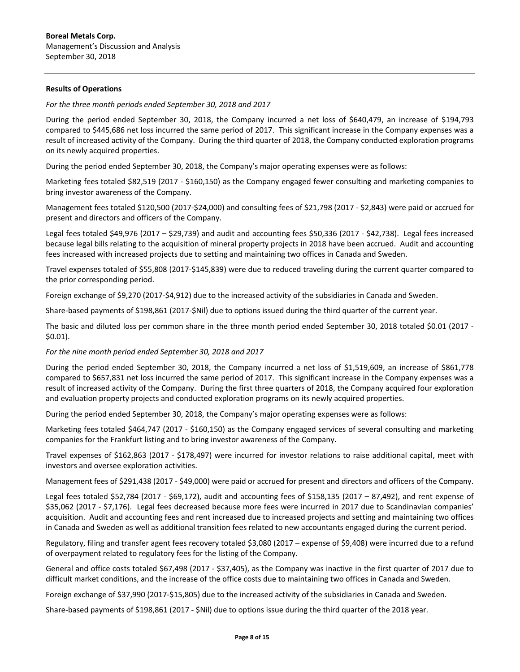### **Results of Operations**

*For the three month periods ended September 30, 2018 and 2017*

During the period ended September 30, 2018, the Company incurred a net loss of \$640,479, an increase of \$194,793 compared to \$445,686 net loss incurred the same period of 2017. This significant increase in the Company expenses was a result of increased activity of the Company. During the third quarter of 2018, the Company conducted exploration programs on its newly acquired properties.

During the period ended September 30, 2018, the Company's major operating expenses were as follows:

Marketing fees totaled \$82,519 (2017 - \$160,150) as the Company engaged fewer consulting and marketing companies to bring investor awareness of the Company.

Management fees totaled \$120,500 (2017-\$24,000) and consulting fees of \$21,798 (2017 - \$2,843) were paid or accrued for present and directors and officers of the Company.

Legal fees totaled \$49,976 (2017 – \$29,739) and audit and accounting fees \$50,336 (2017 - \$42,738). Legal fees increased because legal bills relating to the acquisition of mineral property projects in 2018 have been accrued. Audit and accounting fees increased with increased projects due to setting and maintaining two offices in Canada and Sweden.

Travel expenses totaled of \$55,808 (2017-\$145,839) were due to reduced traveling during the current quarter compared to the prior corresponding period.

Foreign exchange of \$9,270 (2017-\$4,912) due to the increased activity of the subsidiaries in Canada and Sweden.

Share-based payments of \$198,861 (2017-\$Nil) due to options issued during the third quarter of the current year.

The basic and diluted loss per common share in the three month period ended September 30, 2018 totaled \$0.01 (2017 - \$0.01).

### *For the nine month period ended September 30, 2018 and 2017*

During the period ended September 30, 2018, the Company incurred a net loss of \$1,519,609, an increase of \$861,778 compared to \$657,831 net loss incurred the same period of 2017. This significant increase in the Company expenses was a result of increased activity of the Company. During the first three quarters of 2018, the Company acquired four exploration and evaluation property projects and conducted exploration programs on its newly acquired properties.

During the period ended September 30, 2018, the Company's major operating expenses were as follows:

Marketing fees totaled \$464,747 (2017 - \$160,150) as the Company engaged services of several consulting and marketing companies for the Frankfurt listing and to bring investor awareness of the Company.

Travel expenses of \$162,863 (2017 - \$178,497) were incurred for investor relations to raise additional capital, meet with investors and oversee exploration activities.

Management fees of \$291,438 (2017 - \$49,000) were paid or accrued for present and directors and officers of the Company.

Legal fees totaled \$52,784 (2017 - \$69,172), audit and accounting fees of \$158,135 (2017 – 87,492), and rent expense of \$35,062 (2017 - \$7,176). Legal fees decreased because more fees were incurred in 2017 due to Scandinavian companies' acquisition. Audit and accounting fees and rent increased due to increased projects and setting and maintaining two offices in Canada and Sweden as well as additional transition fees related to new accountants engaged during the current period.

Regulatory, filing and transfer agent fees recovery totaled \$3,080 (2017 – expense of \$9,408) were incurred due to a refund of overpayment related to regulatory fees for the listing of the Company.

General and office costs totaled \$67,498 (2017 - \$37,405), as the Company was inactive in the first quarter of 2017 due to difficult market conditions, and the increase of the office costs due to maintaining two offices in Canada and Sweden.

Foreign exchange of \$37,990 (2017-\$15,805) due to the increased activity of the subsidiaries in Canada and Sweden.

Share-based payments of \$198,861 (2017 - \$Nil) due to options issue during the third quarter of the 2018 year.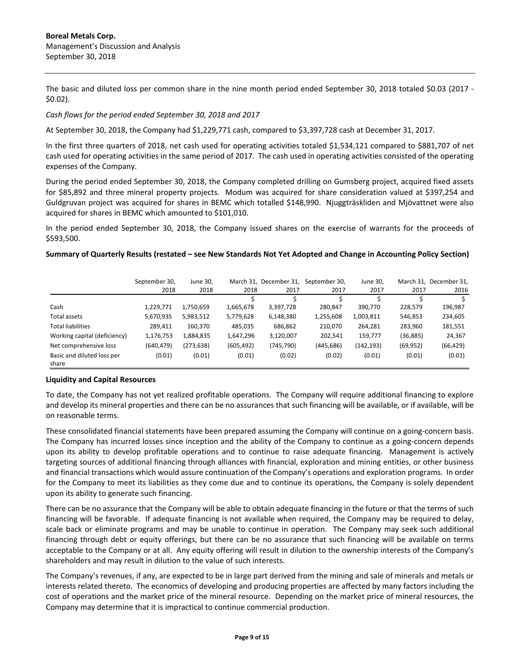The basic and diluted loss per common share in the nine month period ended September 30, 2018 totaled \$0.03 (2017 - \$0.02).

### *Cash flows for the period ended September 30, 2018 and 2017*

At September 30, 2018, the Company had \$1,229,771 cash, compared to \$3,397,728 cash at December 31, 2017.

In the first three quarters of 2018, net cash used for operating activities totaled \$1,534,121 compared to \$881,707 of net cash used for operating activities in the same period of 2017. The cash used in operating activities consisted of the operating expenses of the Company.

During the period ended September 30, 2018, the Company completed drilling on Gumsberg project, acquired fixed assets for \$85,892 and three mineral property projects. Modum was acquired for share consideration valued at \$397,254 and Guldgruvan project was acquired for shares in BEMC which totalled \$148,990. Njuggträskliden and Mjövattnet were also acquired for shares in BEMC which amounted to \$101,010.

In the period ended September 30, 2018, the Company issued shares on the exercise of warrants for the proceeds of \$593,500.

#### **Summary of Quarterly Results (restated – see New Standards Not Yet Adopted and Change in Accounting Policy Section)**

|                                     | September 30,<br>2018 | June 30,<br>2018 | 2018       | March 31, December 31,<br>2017 | September 30,<br>2017 | June 30,<br>2017 | 2017      | March 31. December 31.<br>2016 |
|-------------------------------------|-----------------------|------------------|------------|--------------------------------|-----------------------|------------------|-----------|--------------------------------|
|                                     |                       |                  |            |                                |                       |                  |           |                                |
| Cash                                | 1,229,771             | 1,750,659        | 1,665,678  | 3,397,728                      | 280,847               | 390,770          | 228,579   | 196,987                        |
| Total assets                        | 5,670,935             | 5,983,512        | 5,779,628  | 6,148,380                      | 1,255,608             | 1,003,811        | 546,853   | 234,605                        |
| <b>Total liabilities</b>            | 289.411               | 160,370          | 485,035    | 686,862                        | 210,070               | 264,281          | 283,960   | 181,551                        |
| Working capital (deficiency)        | 1,176,753             | 1,884,835        | 1,647,296  | 3,120,007                      | 202.541               | 159,777          | (36, 885) | 24,367                         |
| Net comprehensive loss              | (640, 479)            | (273, 638)       | (605, 492) | (745, 790)                     | (445, 686)            | (142, 193)       | (69, 952) | (66, 429)                      |
| Basic and diluted loss per<br>share | (0.01)                | (0.01)           | (0.01)     | (0.02)                         | (0.02)                | (0.01)           | (0.01)    | (0.01)                         |

### **Liquidity and Capital Resources**

To date, the Company has not yet realized profitable operations. The Company will require additional financing to explore and develop its mineral properties and there can be no assurances that such financing will be available, or if available, will be on reasonable terms.

These consolidated financial statements have been prepared assuming the Company will continue on a going-concern basis. The Company has incurred losses since inception and the ability of the Company to continue as a going-concern depends upon its ability to develop profitable operations and to continue to raise adequate financing. Management is actively targeting sources of additional financing through alliances with financial, exploration and mining entities, or other business and financial transactions which would assure continuation of the Company's operations and exploration programs. In order for the Company to meet its liabilities as they come due and to continue its operations, the Company is solely dependent upon its ability to generate such financing.

There can be no assurance that the Company will be able to obtain adequate financing in the future or that the terms of such financing will be favorable. If adequate financing is not available when required, the Company may be required to delay, scale back or eliminate programs and may be unable to continue in operation. The Company may seek such additional financing through debt or equity offerings, but there can be no assurance that such financing will be available on terms acceptable to the Company or at all. Any equity offering will result in dilution to the ownership interests of the Company's shareholders and may result in dilution to the value of such interests.

The Company's revenues, if any, are expected to be in large part derived from the mining and sale of minerals and metals or interests related thereto. The economics of developing and producing properties are affected by many factors including the cost of operations and the market price of the mineral resource. Depending on the market price of mineral resources, the Company may determine that it is impractical to continue commercial production.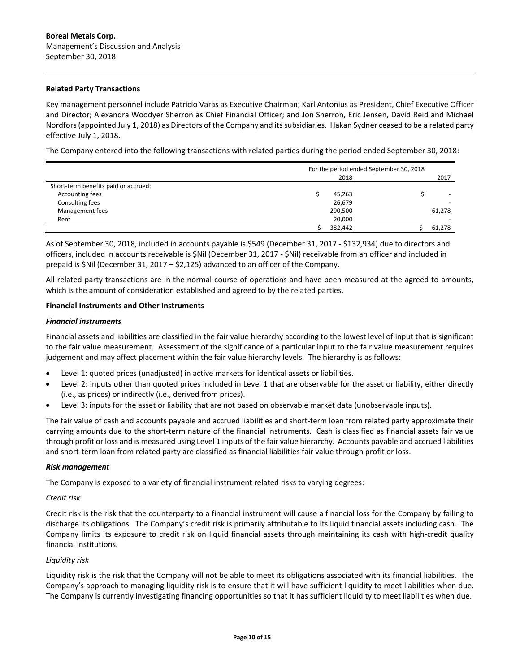### **Related Party Transactions**

Key management personnel include Patricio Varas as Executive Chairman; Karl Antonius as President, Chief Executive Officer and Director; Alexandra Woodyer Sherron as Chief Financial Officer; and Jon Sherron, Eric Jensen, David Reid and Michael Nordfors(appointed July 1, 2018) as Directors of the Company and its subsidiaries. Hakan Sydner ceased to be a related party effective July 1, 2018.

The Company entered into the following transactions with related parties during the period ended September 30, 2018:

|                                      |         | For the period ended September 30, 2018 |
|--------------------------------------|---------|-----------------------------------------|
|                                      | 2018    | 2017                                    |
| Short-term benefits paid or accrued: |         |                                         |
| Accounting fees                      | 45,263  | $\overline{\phantom{0}}$                |
| Consulting fees                      | 26,679  | $\overline{\phantom{0}}$                |
| Management fees                      | 290,500 | 61,278                                  |
| Rent                                 | 20,000  | $\overline{\phantom{0}}$                |
|                                      | 382,442 | 61,278                                  |

As of September 30, 2018, included in accounts payable is \$549 (December 31, 2017 - \$132,934) due to directors and officers, included in accounts receivable is \$Nil (December 31, 2017 - \$Nil) receivable from an officer and included in prepaid is \$Nil (December 31, 2017 – \$2,125) advanced to an officer of the Company.

All related party transactions are in the normal course of operations and have been measured at the agreed to amounts, which is the amount of consideration established and agreed to by the related parties.

### **Financial Instruments and Other Instruments**

### *Financial instruments*

Financial assets and liabilities are classified in the fair value hierarchy according to the lowest level of input that is significant to the fair value measurement. Assessment of the significance of a particular input to the fair value measurement requires judgement and may affect placement within the fair value hierarchy levels. The hierarchy is as follows:

- Level 1: quoted prices (unadjusted) in active markets for identical assets or liabilities.
- Level 2: inputs other than quoted prices included in Level 1 that are observable for the asset or liability, either directly (i.e., as prices) or indirectly (i.e., derived from prices).
- Level 3: inputs for the asset or liability that are not based on observable market data (unobservable inputs).

The fair value of cash and accounts payable and accrued liabilities and short-term loan from related party approximate their carrying amounts due to the short-term nature of the financial instruments. Cash is classified as financial assets fair value through profit or loss and is measured using Level 1 inputs of the fair value hierarchy. Accounts payable and accrued liabilities and short-term loan from related party are classified as financial liabilities fair value through profit or loss.

### *Risk management*

The Company is exposed to a variety of financial instrument related risks to varying degrees:

### *Credit risk*

Credit risk is the risk that the counterparty to a financial instrument will cause a financial loss for the Company by failing to discharge its obligations. The Company's credit risk is primarily attributable to its liquid financial assets including cash. The Company limits its exposure to credit risk on liquid financial assets through maintaining its cash with high-credit quality financial institutions.

### *Liquidity risk*

Liquidity risk is the risk that the Company will not be able to meet its obligations associated with its financial liabilities. The Company's approach to managing liquidity risk is to ensure that it will have sufficient liquidity to meet liabilities when due. The Company is currently investigating financing opportunities so that it has sufficient liquidity to meet liabilities when due.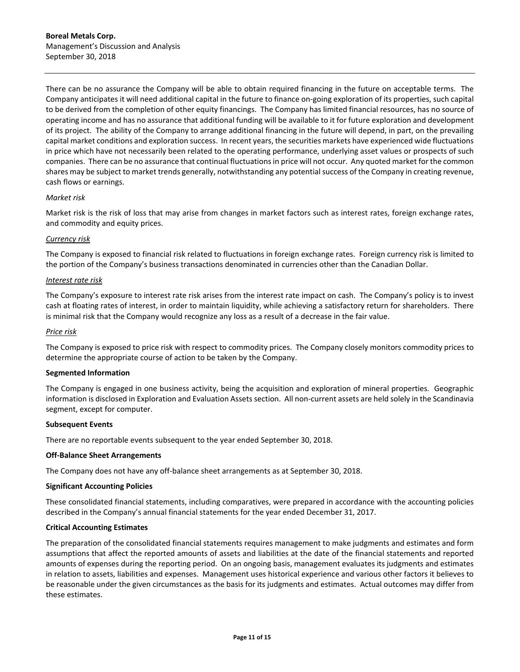There can be no assurance the Company will be able to obtain required financing in the future on acceptable terms. The Company anticipates it will need additional capital in the future to finance on-going exploration of its properties, such capital to be derived from the completion of other equity financings. The Company has limited financial resources, has no source of operating income and has no assurance that additional funding will be available to it for future exploration and development of its project. The ability of the Company to arrange additional financing in the future will depend, in part, on the prevailing capital market conditions and exploration success. In recent years, the securities markets have experienced wide fluctuations in price which have not necessarily been related to the operating performance, underlying asset values or prospects of such companies. There can be no assurance that continual fluctuations in price will not occur. Any quoted market for the common shares may be subject to market trends generally, notwithstanding any potential success of the Company in creating revenue, cash flows or earnings.

## *Market risk*

Market risk is the risk of loss that may arise from changes in market factors such as interest rates, foreign exchange rates, and commodity and equity prices.

## *Currency risk*

The Company is exposed to financial risk related to fluctuations in foreign exchange rates. Foreign currency risk is limited to the portion of the Company's business transactions denominated in currencies other than the Canadian Dollar.

### *Interest rate risk*

The Company's exposure to interest rate risk arises from the interest rate impact on cash. The Company's policy is to invest cash at floating rates of interest, in order to maintain liquidity, while achieving a satisfactory return for shareholders. There is minimal risk that the Company would recognize any loss as a result of a decrease in the fair value.

### *Price risk*

The Company is exposed to price risk with respect to commodity prices. The Company closely monitors commodity prices to determine the appropriate course of action to be taken by the Company.

### **Segmented Information**

The Company is engaged in one business activity, being the acquisition and exploration of mineral properties. Geographic information is disclosed in Exploration and Evaluation Assets section. All non-current assets are held solely in the Scandinavia segment, except for computer.

### **Subsequent Events**

There are no reportable events subsequent to the year ended September 30, 2018.

### **Off-Balance Sheet Arrangements**

The Company does not have any off-balance sheet arrangements as at September 30, 2018.

### **Significant Accounting Policies**

These consolidated financial statements, including comparatives, were prepared in accordance with the accounting policies described in the Company's annual financial statements for the year ended December 31, 2017.

### **Critical Accounting Estimates**

The preparation of the consolidated financial statements requires management to make judgments and estimates and form assumptions that affect the reported amounts of assets and liabilities at the date of the financial statements and reported amounts of expenses during the reporting period. On an ongoing basis, management evaluates its judgments and estimates in relation to assets, liabilities and expenses. Management uses historical experience and various other factors it believes to be reasonable under the given circumstances as the basis for its judgments and estimates. Actual outcomes may differ from these estimates.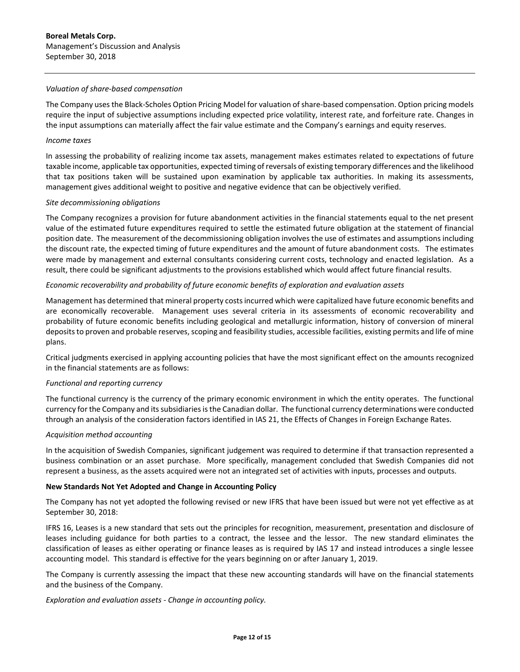### *Valuation of share-based compensation*

The Company uses the Black-Scholes Option Pricing Model for valuation of share-based compensation. Option pricing models require the input of subjective assumptions including expected price volatility, interest rate, and forfeiture rate. Changes in the input assumptions can materially affect the fair value estimate and the Company's earnings and equity reserves.

### *Income taxes*

In assessing the probability of realizing income tax assets, management makes estimates related to expectations of future taxable income, applicable tax opportunities, expected timing of reversals of existing temporary differences and the likelihood that tax positions taken will be sustained upon examination by applicable tax authorities. In making its assessments, management gives additional weight to positive and negative evidence that can be objectively verified.

## *Site decommissioning obligations*

The Company recognizes a provision for future abandonment activities in the financial statements equal to the net present value of the estimated future expenditures required to settle the estimated future obligation at the statement of financial position date. The measurement of the decommissioning obligation involves the use of estimates and assumptions including the discount rate, the expected timing of future expenditures and the amount of future abandonment costs. The estimates were made by management and external consultants considering current costs, technology and enacted legislation. As a result, there could be significant adjustments to the provisions established which would affect future financial results.

# *Economic recoverability and probability of future economic benefits of exploration and evaluation assets*

Management has determined that mineral property costs incurred which were capitalized have future economic benefits and are economically recoverable. Management uses several criteria in its assessments of economic recoverability and probability of future economic benefits including geological and metallurgic information, history of conversion of mineral deposits to proven and probable reserves, scoping and feasibility studies, accessible facilities, existing permits and life of mine plans.

Critical judgments exercised in applying accounting policies that have the most significant effect on the amounts recognized in the financial statements are as follows:

# *Functional and reporting currency*

The functional currency is the currency of the primary economic environment in which the entity operates. The functional currency for the Company and its subsidiaries is the Canadian dollar. The functional currency determinations were conducted through an analysis of the consideration factors identified in IAS 21, the Effects of Changes in Foreign Exchange Rates.

### *Acquisition method accounting*

In the acquisition of Swedish Companies, significant judgement was required to determine if that transaction represented a business combination or an asset purchase. More specifically, management concluded that Swedish Companies did not represent a business, as the assets acquired were not an integrated set of activities with inputs, processes and outputs.

# **New Standards Not Yet Adopted and Change in Accounting Policy**

The Company has not yet adopted the following revised or new IFRS that have been issued but were not yet effective as at September 30, 2018:

IFRS 16, Leases is a new standard that sets out the principles for recognition, measurement, presentation and disclosure of leases including guidance for both parties to a contract, the lessee and the lessor. The new standard eliminates the classification of leases as either operating or finance leases as is required by IAS 17 and instead introduces a single lessee accounting model. This standard is effective for the years beginning on or after January 1, 2019.

The Company is currently assessing the impact that these new accounting standards will have on the financial statements and the business of the Company.

*Exploration and evaluation assets - Change in accounting policy.*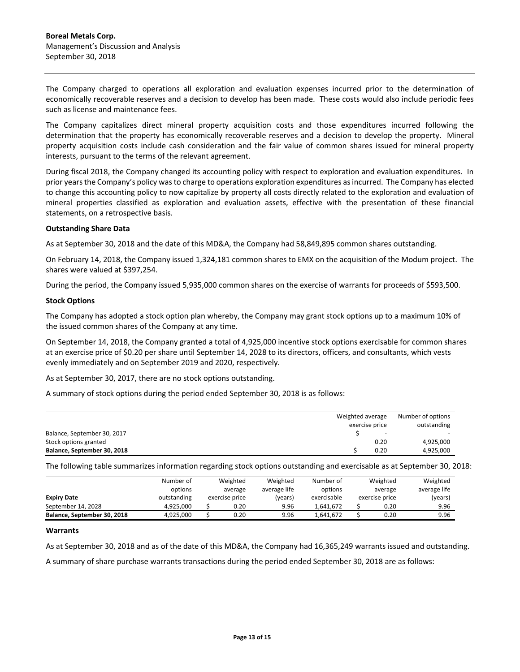The Company charged to operations all exploration and evaluation expenses incurred prior to the determination of economically recoverable reserves and a decision to develop has been made. These costs would also include periodic fees such as license and maintenance fees.

The Company capitalizes direct mineral property acquisition costs and those expenditures incurred following the determination that the property has economically recoverable reserves and a decision to develop the property. Mineral property acquisition costs include cash consideration and the fair value of common shares issued for mineral property interests, pursuant to the terms of the relevant agreement.

During fiscal 2018, the Company changed its accounting policy with respect to exploration and evaluation expenditures. In prior years the Company's policy was to charge to operations exploration expenditures as incurred. The Company has elected to change this accounting policy to now capitalize by property all costs directly related to the exploration and evaluation of mineral properties classified as exploration and evaluation assets, effective with the presentation of these financial statements, on a retrospective basis.

### **Outstanding Share Data**

As at September 30, 2018 and the date of this MD&A, the Company had 58,849,895 common shares outstanding.

On February 14, 2018, the Company issued 1,324,181 common shares to EMX on the acquisition of the Modum project. The shares were valued at \$397,254.

During the period, the Company issued 5,935,000 common shares on the exercise of warrants for proceeds of \$593,500.

### **Stock Options**

The Company has adopted a stock option plan whereby, the Company may grant stock options up to a maximum 10% of the issued common shares of the Company at any time.

On September 14, 2018, the Company granted a total of 4,925,000 incentive stock options exercisable for common shares at an exercise price of \$0.20 per share until September 14, 2028 to its directors, officers, and consultants, which vests evenly immediately and on September 2019 and 2020, respectively.

As at September 30, 2017, there are no stock options outstanding.

A summary of stock options during the period ended September 30, 2018 is as follows:

|                             | Weighted average<br>exercise price |      |           |  |
|-----------------------------|------------------------------------|------|-----------|--|
| Balance, September 30, 2017 |                                    | -    |           |  |
| Stock options granted       |                                    | 0.20 | 4,925,000 |  |
| Balance, September 30, 2018 |                                    | 0.20 | 4,925,000 |  |

The following table summarizes information regarding stock options outstanding and exercisable as at September 30, 2018:

|                             | Number of<br>options | Weighted<br>average | Weighted<br>average life | Number of<br>Weighted<br>options<br>average |  |                | Weighted<br>average life |
|-----------------------------|----------------------|---------------------|--------------------------|---------------------------------------------|--|----------------|--------------------------|
| <b>Expiry Date</b>          | outstanding          | exercise price      | (years)                  | exercisable                                 |  | exercise price | (years)                  |
| September 14, 2028          | 4.925.000            | 0.20                | 9.96                     | 1.641.672                                   |  | 0.20           | 9.96                     |
| Balance, September 30, 2018 | 4.925.000            | 0.20                | 9.96                     | 1.641.672                                   |  | 0.20           | 9.96                     |

### **Warrants**

As at September 30, 2018 and as of the date of this MD&A, the Company had 16,365,249 warrants issued and outstanding.

A summary of share purchase warrants transactions during the period ended September 30, 2018 are as follows: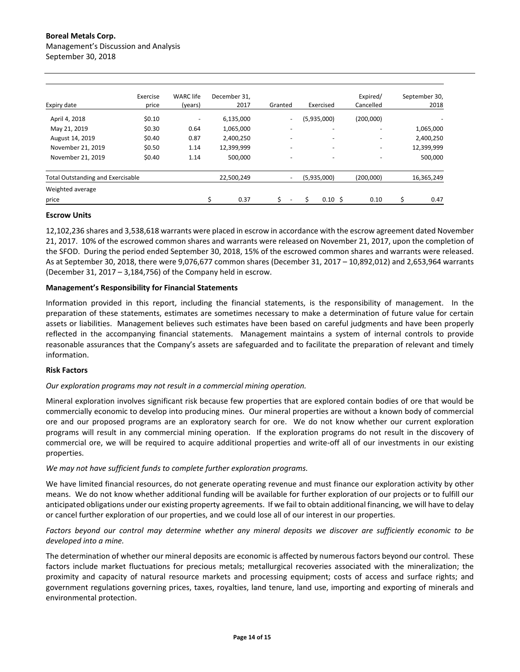| Expiry date                              | Exercise<br>price | <b>WARC</b> life<br>(years) | December 31.<br>2017 | Granted                  | Exercised                | Expired/<br>Cancelled    | September 30,<br>2018 |
|------------------------------------------|-------------------|-----------------------------|----------------------|--------------------------|--------------------------|--------------------------|-----------------------|
| April 4, 2018                            | \$0.10            | $\overline{\phantom{a}}$    | 6,135,000            | $\overline{\phantom{a}}$ | (5,935,000)              | (200,000)                |                       |
| May 21, 2019                             | \$0.30            | 0.64                        | 1,065,000            |                          | -                        |                          | 1,065,000             |
| August 14, 2019                          | \$0.40            | 0.87                        | 2,400,250            |                          | $\overline{\phantom{0}}$ | $\overline{\phantom{0}}$ | 2,400,250             |
| November 21, 2019                        | \$0.50            | 1.14                        | 12,399,999           | $\overline{\phantom{a}}$ | -                        | $\overline{\phantom{0}}$ | 12,399,999            |
| November 21, 2019                        | \$0.40            | 1.14                        | 500,000              | $\overline{\phantom{0}}$ | -                        | -                        | 500,000               |
| <b>Total Outstanding and Exercisable</b> |                   |                             | 22.500.249           | $\overline{\phantom{a}}$ | (5,935,000)              | (200,000)                | 16,365,249            |
| Weighted average                         |                   |                             |                      |                          |                          |                          |                       |
| price                                    |                   |                             | Ś<br>0.37            |                          | $0.10 \,$ \$             | 0.10                     | \$<br>0.47            |

### **Escrow Units**

12,102,236 shares and 3,538,618 warrants were placed in escrow in accordance with the escrow agreement dated November 21, 2017. 10% of the escrowed common shares and warrants were released on November 21, 2017, upon the completion of the SFOD. During the period ended September 30, 2018, 15% of the escrowed common shares and warrants were released. As at September 30, 2018, there were 9,076,677 common shares (December 31, 2017 – 10,892,012) and 2,653,964 warrants (December 31, 2017 – 3,184,756) of the Company held in escrow.

### **Management's Responsibility for Financial Statements**

Information provided in this report, including the financial statements, is the responsibility of management. In the preparation of these statements, estimates are sometimes necessary to make a determination of future value for certain assets or liabilities. Management believes such estimates have been based on careful judgments and have been properly reflected in the accompanying financial statements. Management maintains a system of internal controls to provide reasonable assurances that the Company's assets are safeguarded and to facilitate the preparation of relevant and timely information.

#### **Risk Factors**

### *Our exploration programs may not result in a commercial mining operation.*

Mineral exploration involves significant risk because few properties that are explored contain bodies of ore that would be commercially economic to develop into producing mines. Our mineral properties are without a known body of commercial ore and our proposed programs are an exploratory search for ore. We do not know whether our current exploration programs will result in any commercial mining operation. If the exploration programs do not result in the discovery of commercial ore, we will be required to acquire additional properties and write-off all of our investments in our existing properties.

#### *We may not have sufficient funds to complete further exploration programs.*

We have limited financial resources, do not generate operating revenue and must finance our exploration activity by other means. We do not know whether additional funding will be available for further exploration of our projects or to fulfill our anticipated obligations under our existing property agreements. If we fail to obtain additional financing, we will have to delay or cancel further exploration of our properties, and we could lose all of our interest in our properties.

## *Factors beyond our control may determine whether any mineral deposits we discover are sufficiently economic to be developed into a mine.*

The determination of whether our mineral deposits are economic is affected by numerous factors beyond our control. These factors include market fluctuations for precious metals; metallurgical recoveries associated with the mineralization; the proximity and capacity of natural resource markets and processing equipment; costs of access and surface rights; and government regulations governing prices, taxes, royalties, land tenure, land use, importing and exporting of minerals and environmental protection.